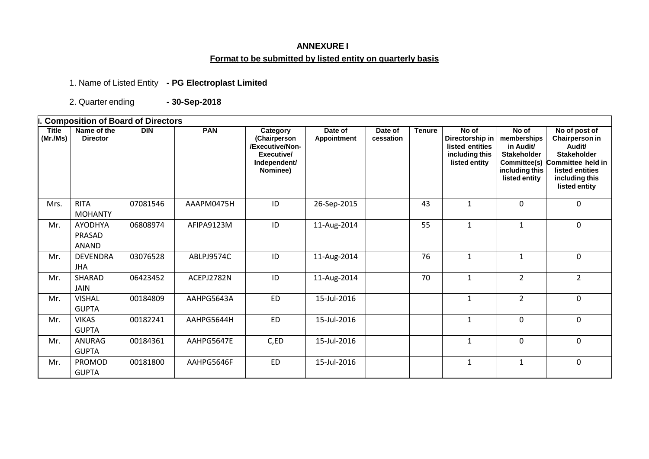## **ANNEXURE I Format to be submitted by listed entity on quarterly basis**

1. Name of Listed Entity **- PG Electroplast Limited**

2. Quarter ending **- 30-Sep-2018**

**I. Composition of Board of Directors Title (Mr./Ms) Name of the Director DIN PAN Category (Chairperson /Executive/Non-Executive/ Independent/ Nominee) Date of Appointment Date of cessation Tenure No of Directorship in listed entities including this listed entity No of memberships in Audit/ Stakeholder Committee(s) including this listed entity No of post of Chairperson in Audit/ Stakeholder Committee held in listed entities including this listed entity** Mrs. RITA MOHANTY 07081546 | AAAPM0475H | ID | 26-Sep-2015 | | 43 | 1 | 0 | 0 Mr. AYODHYA PRASAD ANAND 06808974 | AFIPA9123M | ID | 11-Aug-2014 | | 55 | 1 | 1 | 0 Mr. DEVENDRA JHA 03076528 | ABLPJ9574C | ID | 11-Aug-2014 | | 76 | 1 | 1 | 1 Mr. SHARAD JAIN 06423452 | ACEPJ2782N | ID | 11-Aug-2014 | | 70 | 1 | 2 | 2 Mr. | VISHAL GUPTA 00184809 | AAHPG5643A | ED | 15-Jul-2016 | | | 1 | 2 | 0 Mr. VIKAS GUPTA 00182241 | AAHPG5644H | ED | 15-Jul-2016 | | | 1 | 0 | 0 Mr. ANURAG GUPTA 00184361 | AAHPG5647E | C,ED | 15-Jul-2016 | | | 1 | 0 | 0 Mr. PROMOD GUPTA 00181800 AAHPG5646F ED 15-Jul-2016 1 1 0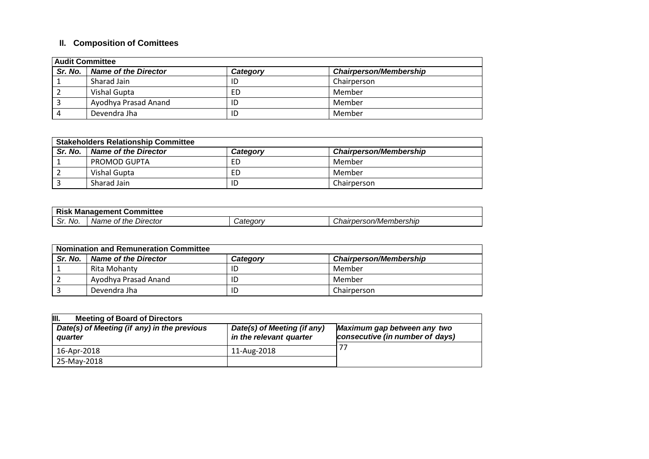# **II. Composition of Comittees**

| <b>Audit Committee</b> |                      |          |                               |
|------------------------|----------------------|----------|-------------------------------|
| Sr. No.                | Name of the Director | Category | <b>Chairperson/Membership</b> |
|                        | Sharad Jain          | ID       | Chairperson                   |
|                        | Vishal Gupta         | ED       | Member                        |
|                        | Ayodhya Prasad Anand | ID       | Member                        |
|                        | Devendra Jha         | ID       | Member                        |

| <b>Stakeholders Relationship Committee</b> |                             |          |                               |
|--------------------------------------------|-----------------------------|----------|-------------------------------|
| Sr. No.                                    | <b>Name of the Director</b> | Categorv | <b>Chairperson/Membership</b> |
|                                            | PROMOD GUPTA                | ED       | Member                        |
|                                            | Vishal Gupta                | ED       | Member                        |
|                                            | Sharad Jain                 | ID       | Chairperson                   |

| <u>в.,</u><br>Committee<br>IVI.<br>neni<br>'nade. |                               |               |                                              |  |
|---------------------------------------------------|-------------------------------|---------------|----------------------------------------------|--|
| .<br>IVO.<br>. اب                                 | Director<br>the<br>Name<br>01 | .<br>77 17 1. | <br>nbershıp<br>son/Mem<br>.<br>нан<br>,,,,, |  |

| <b>Nomination and Remuneration Committee</b> |                             |          |                               |
|----------------------------------------------|-----------------------------|----------|-------------------------------|
| Sr. No.                                      | <b>Name of the Director</b> | Category | <b>Chairperson/Membership</b> |
|                                              | Rita Mohanty                | ID       | Member                        |
|                                              | Ayodhya Prasad Anand        | ID       | Member                        |
|                                              | Devendra Jha                | ID       | Chairperson                   |

| Ш.<br><b>Meeting of Board of Directors</b>             |                                                        |                                                                |
|--------------------------------------------------------|--------------------------------------------------------|----------------------------------------------------------------|
| Date(s) of Meeting (if any) in the previous<br>quarter | Date(s) of Meeting (if any)<br>in the relevant quarter | Maximum gap between any two<br>consecutive (in number of days) |
| 16-Apr-2018                                            | 11-Aug-2018                                            |                                                                |
| 25-Mav-2018                                            |                                                        |                                                                |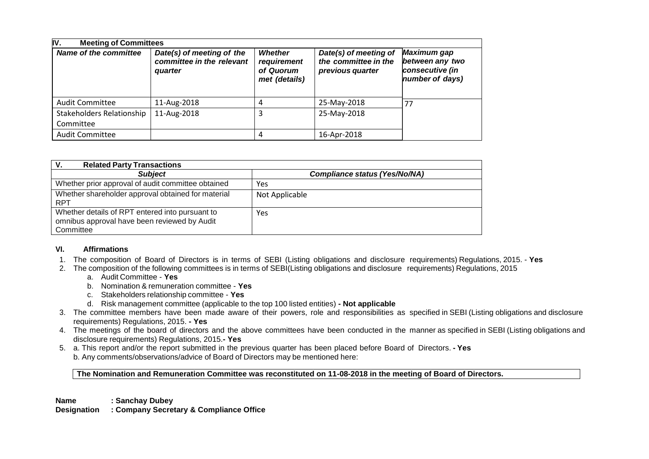| IV.<br><b>Meeting of Committees</b>    |                                                                   |                                                             |                                                                   |                                                                      |
|----------------------------------------|-------------------------------------------------------------------|-------------------------------------------------------------|-------------------------------------------------------------------|----------------------------------------------------------------------|
| <b>Name of the committee</b>           | Date(s) of meeting of the<br>committee in the relevant<br>quarter | <b>Whether</b><br>requirement<br>of Quorum<br>met (details) | Date(s) of meeting of<br>the committee in the<br>previous quarter | Maximum gap<br>between any two<br>consecutive (in<br>number of days) |
| Audit Committee                        | 11-Aug-2018                                                       | 4                                                           | 25-May-2018                                                       | -77                                                                  |
| Stakeholders Relationship<br>Committee | 11-Aug-2018                                                       | 3                                                           | 25-May-2018                                                       |                                                                      |
| <b>Audit Committee</b>                 |                                                                   | 4                                                           | 16-Apr-2018                                                       |                                                                      |

| <b>Related Party Transactions</b><br>v.                                                                      |                                      |
|--------------------------------------------------------------------------------------------------------------|--------------------------------------|
| <b>Subject</b>                                                                                               | <b>Compliance status (Yes/No/NA)</b> |
| Whether prior approval of audit committee obtained                                                           | Yes                                  |
| Whether shareholder approval obtained for material<br><b>RPT</b>                                             | Not Applicable                       |
| Whether details of RPT entered into pursuant to<br>omnibus approval have been reviewed by Audit<br>Committee | <b>Yes</b>                           |

### **VI. Affirmations**

- 1. The composition of Board of Directors is in terms of SEBI (Listing obligations and disclosure requirements) Regulations, 2015. **Yes**
- 2. The composition of the following committees is in terms of SEBI(Listing obligations and disclosure requirements) Regulations, 2015
	- a. Audit Committee **Yes**
	- b. Nomination & remuneration committee **Yes**
	- c. Stakeholders relationship committee **Yes**
	- d. Risk management committee (applicable to the top 100 listed entities) **- Not applicable**
- 3. The committee members have been made aware of their powers, role and responsibilities as specified in SEBI (Listing obligations and disclosure requirements) Regulations, 2015. **- Yes**
- 4. The meetings of the board of directors and the above committees have been conducted in the manner as specified in SEBI (Listing obligations and disclosure requirements) Regulations, 2015.**- Yes**
- 5. a. This report and/or the report submitted in the previous quarter has been placed before Board of Directors. **- Yes** b. Any comments/observations/advice of Board of Directors may be mentioned here:

**The Nomination and Remuneration Committee was reconstituted on 11-08-2018 in the meeting of Board of Directors.**

**Name : Sanchay Dubey**

**Designation : Company Secretary & Compliance Office**